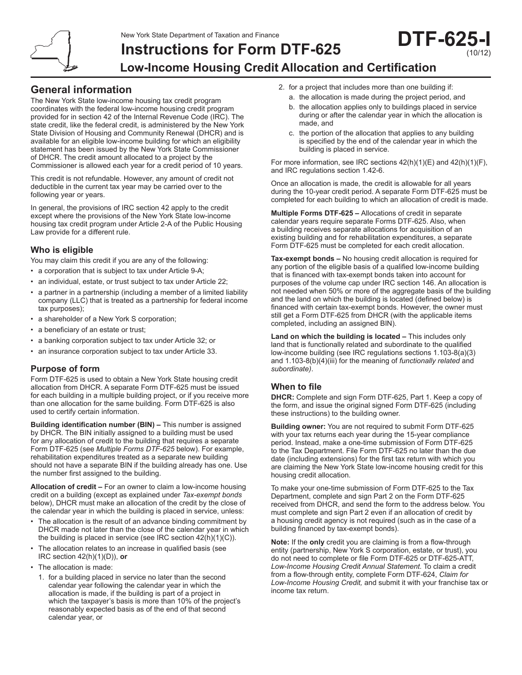New York State Department of Taxation and Finance



# **Instructions for Form DTF-625 Low-Income Housing Credit Allocation and Certification DTF-625-I**

# **General information**

The New York State low‑income housing tax credit program coordinates with the federal low‑income housing credit program provided for in section 42 of the Internal Revenue Code (IRC). The state credit, like the federal credit, is administered by the New York State Division of Housing and Community Renewal (DHCR) and is available for an eligible low‑income building for which an eligibility statement has been issued by the New York State Commissioner of DHCR. The credit amount allocated to a project by the Commissioner is allowed each year for a credit period of 10 years.

This credit is not refundable. However, any amount of credit not deductible in the current tax year may be carried over to the following year or years.

In general, the provisions of IRC section 42 apply to the credit except where the provisions of the New York State low-income housing tax credit program under Article 2‑A of the Public Housing Law provide for a different rule.

# **Who is eligible**

You may claim this credit if you are any of the following:

- a corporation that is subject to tax under Article 9-A;
- an individual, estate, or trust subject to tax under Article 22;
- a partner in a partnership (including a member of a limited liability company (LLC) that is treated as a partnership for federal income tax purposes);
- a shareholder of a New York S corporation;
- a beneficiary of an estate or trust;
- a banking corporation subject to tax under Article 32; or
- an insurance corporation subject to tax under Article 33.

# **Purpose of form**

Form DTF‑625 is used to obtain a New York State housing credit allocation from DHCR. A separate Form DTF‑625 must be issued for each building in a multiple building project, or if you receive more than one allocation for the same building. Form DTF‑625 is also used to certify certain information.

**Building identification number (BIN) –** This number is assigned by DHCR. The BIN initially assigned to a building must be used for any allocation of credit to the building that requires a separate Form DTF‑625 (see *Multiple Forms DTF‑625* below). For example, rehabilitation expenditures treated as a separate new building should not have a separate BIN if the building already has one. Use the number first assigned to the building.

**Allocation of credit –** For an owner to claim a low‑income housing credit on a building (except as explained under *Tax‑exempt bonds* below), DHCR must make an allocation of the credit by the close of the calendar year in which the building is placed in service, unless:

- The allocation is the result of an advance binding commitment by DHCR made not later than the close of the calendar year in which the building is placed in service (see IRC section 42(h)(1)(C)).
- The allocation relates to an increase in qualified basis (see IRC section 42(h)(1)(D)), **or**
- The allocation is made:
	- 1. for a building placed in service no later than the second calendar year following the calendar year in which the allocation is made, if the building is part of a project in which the taxpayer's basis is more than 10% of the project's reasonably expected basis as of the end of that second calendar year, or
- 2. for a project that includes more than one building if:
	- a. the allocation is made during the project period, and
	- b. the allocation applies only to buildings placed in service during or after the calendar year in which the allocation is made, and

(10/12)

c. the portion of the allocation that applies to any building is specified by the end of the calendar year in which the building is placed in service.

For more information, see IRC sections 42(h)(1)(E) and 42(h)(1)(F), and IRC regulations section 1.42-6.

Once an allocation is made, the credit is allowable for all years during the 10-year credit period. A separate Form DTF‑625 must be completed for each building to which an allocation of credit is made.

**Multiple Forms DTF-625 –** Allocations of credit in separate calendar years require separate Forms DTF‑625. Also, when a building receives separate allocations for acquisition of an existing building and for rehabilitation expenditures, a separate Form DTF‑625 must be completed for each credit allocation.

**Tax-exempt bonds –** No housing credit allocation is required for any portion of the eligible basis of a qualified low‑income building that is financed with tax‑exempt bonds taken into account for purposes of the volume cap under IRC section 146. An allocation is not needed when 50% or more of the aggregate basis of the building and the land on which the building is located (defined below) is financed with certain tax-exempt bonds. However, the owner must still get a Form DTF-625 from DHCR (with the applicable items completed, including an assigned BIN).

**Land on which the building is located –** This includes only land that is functionally related and subordinate to the qualified low‑income building (see IRC regulations sections 1.103-8(a)(3) and 1.103-8(b)(4)(iii) for the meaning of *functionally related* and *subordinate)*.

# **When to file**

**DHCR:** Complete and sign Form DTF-625, Part 1. Keep a copy of the form, and issue the original signed Form DTF-625 (including these instructions) to the building owner.

**Building owner:** You are not required to submit Form DTF-625 with your tax returns each year during the 15-year compliance period. Instead, make a one-time submission of Form DTF-625 to the Tax Department. File Form DTF-625 no later than the due date (including extensions) for the first tax return with which you are claiming the New York State low-income housing credit for this housing credit allocation.

To make your one-time submission of Form DTF-625 to the Tax Department, complete and sign Part 2 on the Form DTF-625 received from DHCR, and send the form to the address below. You must complete and sign Part 2 even if an allocation of credit by a housing credit agency is not required (such as in the case of a building financed by tax-exempt bonds).

**Note:** If the **only** credit you are claiming is from a flow-through entity (partnership, New York S corporation, estate, or trust), you do not need to complete or file Form DTF‑625 or DTF‑625‑ATT, *Low-Income Housing Credit Annual Statement.* To claim a credit from a flow‑through entity, complete Form DTF‑624, *Claim for Low-Income Housing Credit,* and submit it with your franchise tax or income tax return.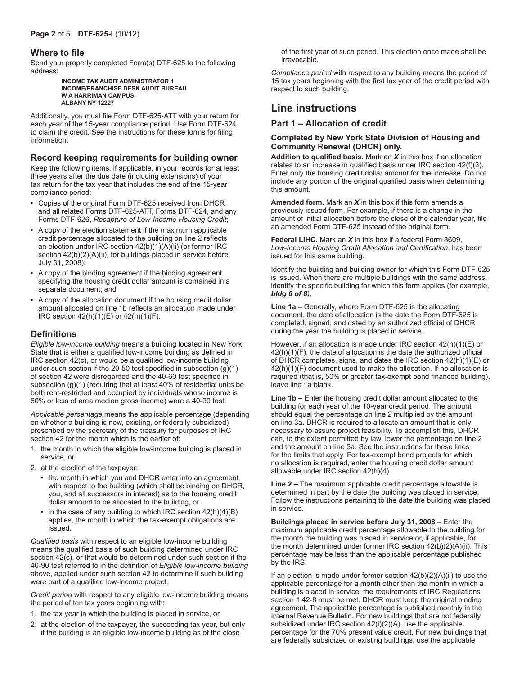### **Where to file**

Send your properly completed Form(s) DTF-625 to the following address:

#### **INCOME TAX AUDIT ADMINISTRATOR 1 INCOME/FRANCHISE DESK AUDIT BUREAU W A HARRIMAN CAMPUS ALBANY NY 12227**

Additionally, you must file Form DTF-625-ATT with your return for each year of the 15-year compliance period. Use Form DTF-624 to claim the credit. See the instructions for these forms for filing information.

### **Record keeping requirements for building owner**

Keep the following items, if applicable, in your records for at least three years after the due date (including extensions) of your tax return for the tax year that includes the end of the 15-year compliance period:

- • Copies of the original Form DTF-625 received from DHCR and all related Forms DTF-625-ATT, Forms DTF-624, and any Forms DTF-626, *Recapture of Low-Income Housing Credit*;
- • A copy of the election statement if the maximum applicable credit percentage allocated to the building on line 2 reflects an election under IRC section 42(b)(1)(A)(ii) (or former IRC section 42(b)(2)(A)(ii), for buildings placed in service before July 31, 2008);
- • A copy of the binding agreement if the binding agreement specifying the housing credit dollar amount is contained in a separate document; and
- A copy of the allocation document if the housing credit dollar amount allocated on line 1b reflects an allocation made under IRC section 42(h)(1)(E) or 42(h)(1)(F).

### **Definitions**

*Eligible low‑income building* means a building located in New York State that is either a qualified low‑income building as defined in IRC section 42(c), or would be a qualified low‑income building under such section if the 20-50 test specified in subsection  $(g)(1)$ of section 42 were disregarded and the 40‑60 test specified in subsection (g)(1) (requiring that at least 40% of residential units be both rent-restricted and occupied by individuals whose income is 60% or less of area median gross income) were a 40‑90 test.

*Applicable percentage* means the applicable percentage (depending on whether a building is new, existing, or federally subsidized) prescribed by the secretary of the treasury for purposes of IRC section 42 for the month which is the earlier of:

- 1. the month in which the eligible low‑income building is placed in service, or
- 2. at the election of the taxpayer:
	- the month in which you and DHCR enter into an agreement with respect to the building (which shall be binding on DHCR, you, and all successors in interest) as to the housing credit dollar amount to be allocated to the building, or
	- in the case of any building to which IRC section  $42(h)(4)(B)$ applies, the month in which the tax-exempt obligations are issued.

*Qualified basis* with respect to an eligible low‑income building means the qualified basis of such building determined under IRC section 42(c), or that would be determined under such section if the 40‑90 test referred to in the definition of *Eligible low‑income building* above, applied under such section 42 to determine if such building were part of a qualified low-income project.

*Credit period* with respect to any eligible low‑income building means the period of ten tax years beginning with:

- 1. the tax year in which the building is placed in service, or
- 2. at the election of the taxpayer, the succeeding tax year, but only if the building is an eligible low‑income building as of the close

of the first year of such period. This election once made shall be irrevocable.

*Compliance period* with respect to any building means the period of 15 tax years beginning with the first tax year of the credit period with respect to such building.

# **Line instructions**

# **Part 1 – Allocation of credit**

### **Completed by New York State Division of Housing and Community Renewal (DHCR) only.**

**Addition to qualified basis.** Mark an *X* in this box if an allocation relates to an increase in qualified basis under IRC section 42(f)(3). Enter only the housing credit dollar amount for the increase. Do not include any portion of the original qualified basis when determining this amount.

**Amended form.** Mark an *X* in this box if this form amends a previously issued form. For example, if there is a change in the amount of initial allocation before the close of the calendar year, file an amended Form DTF‑625 instead of the original form.

**Federal LIHC.** Mark an *X* in this box if a federal Form 8609, *Low‑Income Housing Credit Allocation and Certification*, has been issued for this same building.

Identify the building and building owner for which this Form DTF‑625 is issued. When there are multiple buildings with the same address, identify the specific building for which this form applies (for example, *bldg 6 of 8)*.

**Line 1a –** Generally, where Form DTF-625 is the allocating document, the date of allocation is the date the Form DTF‑625 is completed, signed, and dated by an authorized official of DHCR during the year the building is placed in service.

However, if an allocation is made under IRC section 42(h)(1)(E) or 42(h)(1)(F), the date of allocation is the date the authorized official of DHCR completes, signs, and dates the IRC section 42(h)(1)(E) or  $42(h)(1)(F)$  document used to make the allocation. If no allocation is required (that is, 50% or greater tax-exempt bond financed building), leave line 1a blank.

**Line 1b –** Enter the housing credit dollar amount allocated to the building for each year of the 10‑year credit period. The amount should equal the percentage on line 2 multiplied by the amount on line 3a. DHCR is required to allocate an amount that is only necessary to assure project feasibility. To accomplish this, DHCR can, to the extent permitted by law, lower the percentage on line 2 and the amount on line 3a. See the instructions for these lines for the limits that apply. For tax-exempt bond projects for which no allocation is required, enter the housing credit dollar amount allowable under IRC section 42(h)(4).

**Line 2 –** The maximum applicable credit percentage allowable is determined in part by the date the building was placed in service. Follow the instructions pertaining to the date the building was placed in service.

**Buildings placed in service before July 31, 2008 –** Enter the maximum applicable credit percentage allowable to the building for the month the building was placed in service or, if applicable, for the month determined under former IRC section 42(b)(2)(A)(ii). This percentage may be less than the applicable percentage published by the IRS.

If an election is made under former section 42(b)(2)(A)(ii) to use the applicable percentage for a month other than the month in which a building is placed in service, the requirements of IRC Regulations section 1.42-8 must be met. DHCR must keep the original binding agreement. The applicable percentage is published monthly in the Internal Revenue Bulletin. For new buildings that are not federally subsidized under IRC section 42(i)(2)(A), use the applicable percentage for the 70% present value credit. For new buildings that are federally subsidized or existing buildings, use the applicable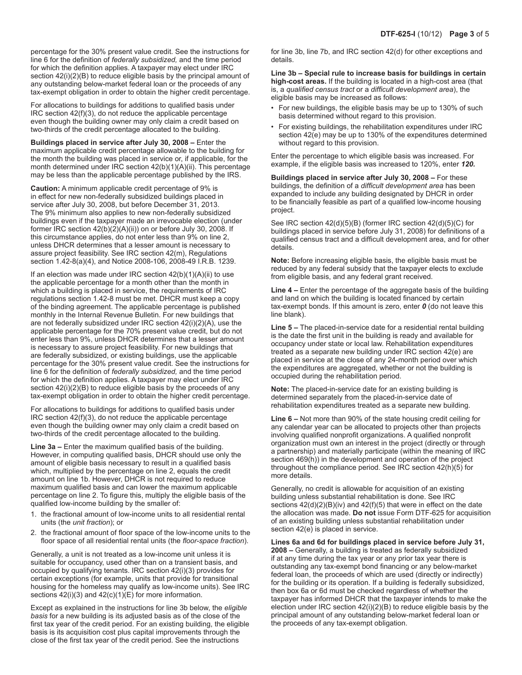percentage for the 30% present value credit. See the instructions for line 6 for the definition of *federally subsidized,* and the time period for which the definition applies. A taxpayer may elect under IRC section 42(i)(2)(B) to reduce eligible basis by the principal amount of any outstanding below-market federal loan or the proceeds of any tax‑exempt obligation in order to obtain the higher credit percentage.

For allocations to buildings for additions to qualified basis under IRC section 42(f)(3), do not reduce the applicable percentage even though the building owner may only claim a credit based on two-thirds of the credit percentage allocated to the building.

**Buildings placed in service after July 30, 2008 –** Enter the maximum applicable credit percentage allowable to the building for the month the building was placed in service or, if applicable, for the month determined under IRC section 42(b)(1)(A)(ii). This percentage may be less than the applicable percentage published by the IRS.

**Caution:** A minimum applicable credit percentage of 9% is in effect for new non-federally subsidized buildings placed in service after July 30, 2008, but before December 31, 2013. The 9% minimum also applies to new non-federally subsidized buildings even if the taxpayer made an irrevocable election (under former IRC section 42(b)(2)(A)(ii)) on or before July 30, 2008. If this circumstance applies, do not enter less than 9% on line 2, unless DHCR determines that a lesser amount is necessary to assure project feasibility. See IRC section 42(m), Regulations section 1.42-8(a)(4), and Notice 2008-106, 2008-49 I.R.B. 1239.

If an election was made under IRC section 42(b)(1)(A)(ii) to use the applicable percentage for a month other than the month in which a building is placed in service, the requirements of IRC regulations section 1.42-8 must be met. DHCR must keep a copy of the binding agreement. The applicable percentage is published monthly in the Internal Revenue Bulletin. For new buildings that are not federally subsidized under IRC section 42(i)(2)(A), use the applicable percentage for the 70% present value credit, but do not enter less than 9%, unless DHCR determines that a lesser amount is necessary to assure project feasibility. For new buildings that are federally subsidized, or existing buildings, use the applicable percentage for the 30% present value credit. See the instructions for line 6 for the definition of *federally subsidized,* and the time period for which the definition applies. A taxpayer may elect under IRC section  $42(i)(2)(B)$  to reduce eligible basis by the proceeds of any tax-exempt obligation in order to obtain the higher credit percentage.

For allocations to buildings for additions to qualified basis under IRC section 42(f)(3), do not reduce the applicable percentage even though the building owner may only claim a credit based on two-thirds of the credit percentage allocated to the building.

**Line 3a –** Enter the maximum qualified basis of the building. However, in computing qualified basis, DHCR should use only the amount of eligible basis necessary to result in a qualified basis which, multiplied by the percentage on line 2, equals the credit amount on line 1b. However, DHCR is not required to reduce maximum qualified basis and can lower the maximum applicable percentage on line 2. To figure this, multiply the eligible basis of the qualified low‑income building by the smaller of:

- 1. the fractional amount of low-income units to all residential rental units (the *unit fraction*); or
- 2. the fractional amount of floor space of the low-income units to the floor space of all residential rental units (the *floor‑space fraction*).

Generally, a unit is not treated as a low-income unit unless it is suitable for occupancy, used other than on a transient basis, and occupied by qualifying tenants. IRC section 42(i)(3) provides for certain exceptions (for example, units that provide for transitional housing for the homeless may qualify as low‑income units). See IRC sections  $42(i)(3)$  and  $42(c)(1)(E)$  for more information.

Except as explained in the instructions for line 3b below, the *eligible basis* for a new building is its adjusted basis as of the close of the first tax year of the credit period. For an existing building, the eligible basis is its acquisition cost plus capital improvements through the close of the first tax year of the credit period. See the instructions

for line 3b, line 7b, and IRC section 42(d) for other exceptions and details.

**Line 3b – Special rule to increase basis for buildings in certain high-cost areas.** If the building is located in a high-cost area (that is, a *qualified census tract* or a *difficult development area*), the eligible basis may be increased as follows:

- For new buildings, the eligible basis may be up to 130% of such basis determined without regard to this provision.
- For existing buildings, the rehabilitation expenditures under IRC section 42(e) may be up to 130% of the expenditures determined without regard to this provision.

Enter the percentage to which eligible basis was increased. For example, if the eligible basis was increased to 120%, enter *120.*

**Buildings placed in service after July 30, 2008 –** For these buildings, the definition of a *difficult development area* has been expanded to include any building designated by DHCR in order to be financially feasible as part of a qualified low-income housing project.

See IRC section 42(d)(5)(B) (former IRC section 42(d)(5)(C) for buildings placed in service before July 31, 2008) for definitions of a qualified census tract and a difficult development area, and for other details.

**Note:** Before increasing eligible basis, the eligible basis must be reduced by any federal subsidy that the taxpayer elects to exclude from eligible basis, and any federal grant received.

**Line 4 –** Enter the percentage of the aggregate basis of the building and land on which the building is located financed by certain tax-exempt bonds. If this amount is zero, enter *0* (do not leave this line blank).

**Line 5 –** The placed-in-service date for a residential rental building is the date the first unit in the building is ready and available for occupancy under state or local law. Rehabilitation expenditures treated as a separate new building under IRC section 42(e) are placed in service at the close of any 24‑month period over which the expenditures are aggregated, whether or not the building is occupied during the rehabilitation period.

**Note:** The placed-in-service date for an existing building is determined separately from the placed-in-service date of rehabilitation expenditures treated as a separate new building.

**Line 6 –** Not more than 90% of the state housing credit ceiling for any calendar year can be allocated to projects other than projects involving qualified nonprofit organizations. A qualified nonprofit organization must own an interest in the project (directly or through a partnership) and materially participate (within the meaning of IRC section 469(h)) in the development and operation of the project throughout the compliance period. See IRC section 42(h)(5) for more details.

Generally, no credit is allowable for acquisition of an existing building unless substantial rehabilitation is done. See IRC sections 42(d)(2)(B)(iv) and 42(f)(5) that were in effect on the date the allocation was made. **Do not** issue Form DTF‑625 for acquisition of an existing building unless substantial rehabilitation under section 42(e) is placed in service.

**Lines 6a and 6d for buildings placed in service before July 31, 2008 –** Generally, a building is treated as federally subsidized if at any time during the tax year or any prior tax year there is outstanding any tax‑exempt bond financing or any below‑market federal loan, the proceeds of which are used (directly or indirectly) for the building or its operation. If a building is federally subsidized, then box 6a or 6d must be checked regardless of whether the taxpayer has informed DHCR that the taxpayer intends to make the election under IRC section 42(i)(2)(B) to reduce eligible basis by the principal amount of any outstanding below-market federal loan or the proceeds of any tax-exempt obligation.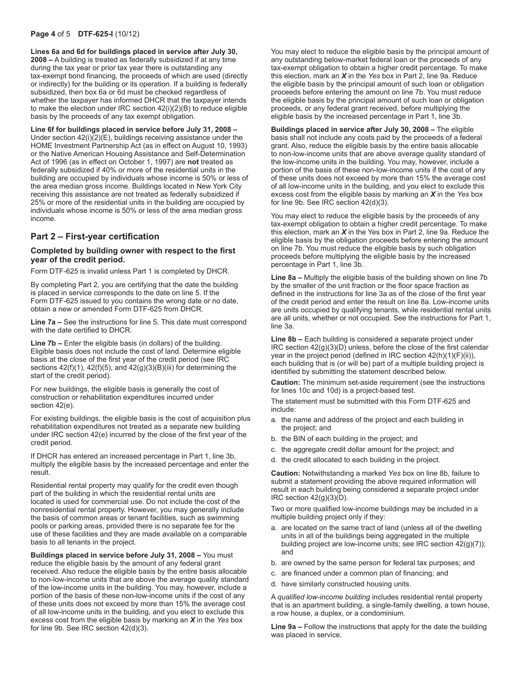### **Page 4** of 5 **DTF-625-I** (10/12)

**Lines 6a and 6d for buildings placed in service after July 30, 2008 –** A building is treated as federally subsidized if at any time during the tax year or prior tax year there is outstanding any tax-exempt bond financing, the proceeds of which are used (directly or indirectly) for the building or its operation. If a building is federally subsidized, then box 6a or 6d must be checked regardless of whether the taxpayer has informed DHCR that the taxpayer intends to make the election under IRC section 42(i)(2)(B) to reduce eligible basis by the proceeds of any tax exempt obligation.

**Line 6f for buildings placed in service before July 31, 2008 –**  Under section 42(i)(2)(E), buildings receiving assistance under the HOME Investment Partnership Act (as in effect on August 10, 1993) or the Native American Housing Assistance and Self-Determination Act of 1996 (as in effect on October 1, 1997) are **not** treated as federally subsidized if 40% or more of the residential units in the building are occupied by individuals whose income is 50% or less of the area median gross income. Buildings located in New York City receiving this assistance are not treated as federally subsidized if 25% or more of the residential units in the building are occupied by individuals whose income is 50% or less of the area median gross income.

# **Part 2 – First‑year certification**

#### **Completed by building owner with respect to the first year of the credit period.**

Form DTF‑625 is invalid unless Part 1 is completed by DHCR.

By completing Part 2, you are certifying that the date the building is placed in service corresponds to the date on line 5. If the Form DTF‑625 issued to you contains the wrong date or no date, obtain a new or amended Form DTF‑625 from DHCR.

**Line 7a –** See the instructions for line 5. This date must correspond with the date certified to DHCR.

**Line 7b –** Enter the eligible basis (in dollars) of the building. Eligible basis does not include the cost of land. Determine eligible basis at the close of the first year of the credit period (see IRC sections  $42(f)(1)$ ,  $42(f)(5)$ , and  $42(g)(3)(B)(iii)$  for determining the start of the credit period).

For new buildings, the eligible basis is generally the cost of construction or rehabilitation expenditures incurred under section 42(e).

For existing buildings, the eligible basis is the cost of acquisition plus rehabilitation expenditures not treated as a separate new building under IRC section 42(e) incurred by the close of the first year of the credit period.

If DHCR has entered an increased percentage in Part 1, line 3b, multiply the eligible basis by the increased percentage and enter the result.

Residential rental property may qualify for the credit even though part of the building in which the residential rental units are located is used for commercial use. Do not include the cost of the nonresidential rental property. However, you may generally include the basis of common areas or tenant facilities, such as swimming pools or parking areas, provided there is no separate fee for the use of these facilities and they are made available on a comparable basis to all tenants in the project.

**Buildings placed in service before July 31, 2008 –** You must reduce the eligible basis by the amount of any federal grant received. Also reduce the eligible basis by the entire basis allocable to non-low-income units that are above the average quality standard of the low-income units in the building. You may, however, include a portion of the basis of these non-low-income units if the cost of any of these units does not exceed by more than 15% the average cost of all low-income units in the building, and you elect to exclude this excess cost from the eligible basis by marking an *X* in the *Yes* box for line 9b. See IRC section 42(d)(3).

You may elect to reduce the eligible basis by the principal amount of any outstanding below-market federal loan or the proceeds of any tax-exempt obligation to obtain a higher credit percentage. To make this election, mark an *X* in the *Yes* box in Part 2, line 9a. Reduce the eligible basis by the principal amount of such loan or obligation proceeds before entering the amount on line 7b. You must reduce the eligible basis by the principal amount of such loan or obligation proceeds, or any federal grant received, before multiplying the eligible basis by the increased percentage in Part 1, line 3b.

**Buildings placed in service after July 30, 2008 –** The eligible basis shall not include any costs paid by the proceeds of a federal grant. Also, reduce the eligible basis by the entire basis allocable to non-low-income units that are above average quality standard of the low-income units in the building. You may, however, include a portion of the basis of these non-low-income units if the cost of any of these units does not exceed by more than 15% the average cost of all low-income units in the building, and you elect to exclude this excess cost from the eligible basis by marking an *X* in the *Yes* box for line 9b. See IRC section 42(d)(3).

You may elect to reduce the eligible basis by the proceeds of any tax-exempt obligation to obtain a higher credit percentage. To make this election, mark an *X* in the Yes box in Part 2, line 9a. Reduce the eligible basis by the obligation proceeds before entering the amount on line 7b. You must reduce the eligible basis by such obligation proceeds before multiplying the eligible basis by the increased percentage in Part 1, line 3b.

**Line 8a –** Multiply the eligible basis of the building shown on line 7b by the smaller of the unit fraction or the floor space fraction as defined in the instructions for line 3a as of the close of the first year of the credit period and enter the result on line 8a. Low-income units are units occupied by qualifying tenants, while residential rental units are all units, whether or not occupied. See the instructions for Part 1, line 3a.

**Line 8b –** Each building is considered a separate project under IRC section 42(g)(3)(D) unless, before the close of the first calendar year in the project period (defined in IRC section 42(h)(1)(F)(ii)), each building that is (or will be) part of a multiple building project is identified by submitting the statement described below.

**Caution:** The minimum set-aside requirement (see the instructions for lines 10c and 10d) is a project-based test.

The statement must be submitted with this Form DTF-625 and include:

- a. the name and address of the project and each building in the project; and
- b. the BIN of each building in the project; and
- c. the aggregate credit dollar amount for the project; and
- d. the credit allocated to each building in the project.

**Caution:** Notwithstanding a marked *Yes* box on line 8b, failure to submit a statement providing the above required information will result in each building being considered a separate project under IRC section  $42(g)(3)(D)$ .

Two or more qualified low-income buildings may be included in a multiple building project only if they:

- a. are located on the same tract of land (unless all of the dwelling units in all of the buildings being aggregated in the multiple building project are low-income units; see IRC section 42(g)(7)); and
- b. are owned by the same person for federal tax purposes; and
- c. are financed under a common plan of financing; and
- d. have similarly constructed housing units.

A *qualified low‑income building* includes residential rental property that is an apartment building, a single-family dwelling, a town house, a row house, a duplex, or a condominium.

**Line 9a –** Follow the instructions that apply for the date the building was placed in service.